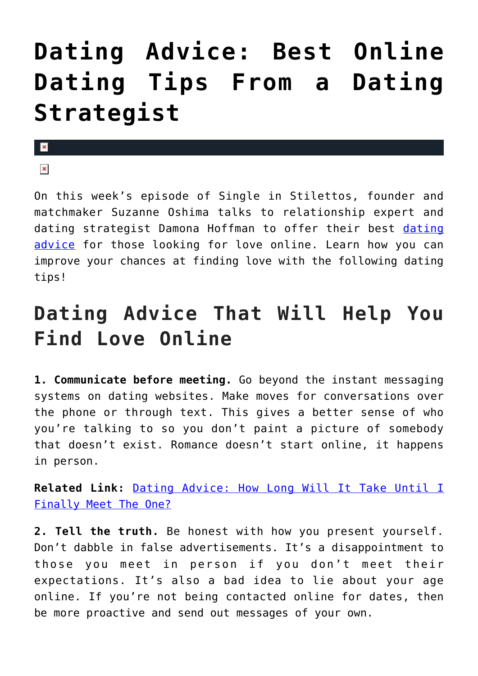## **[Dating Advice: Best Online](https://cupidspulse.com/116706/dating-advice-best-online-dating-tips/) [Dating Tips From a Dating](https://cupidspulse.com/116706/dating-advice-best-online-dating-tips/) [Strategist](https://cupidspulse.com/116706/dating-advice-best-online-dating-tips/)**

## $\mathbf{x}$

 $\pmb{\times}$ 

On this week's episode of Single in Stilettos, founder and matchmaker Suzanne Oshima talks to relationship expert and [dating](http://cupidspulse.com/relationship-experts/) strategist Damona Hoffman to offer their best dating [advice](http://cupidspulse.com/relationship-experts/) for those looking for love online. Learn how you can improve your chances at finding love with the following dating tips!

## **Dating Advice That Will Help You Find Love Online**

**1. Communicate before meeting.** Go beyond the instant messaging systems on dating websites. Make moves for conversations over the phone or through text. This gives a better sense of who you're talking to so you don't paint a picture of somebody that doesn't exist. Romance doesn't start online, it happens in person.

**Related Link:** [Dating Advice: How Long Will It Take Until I](http://cupidspulse.com/116699/dating-advice-how-long-until-meet-the-one/) [Finally Meet The One?](http://cupidspulse.com/116699/dating-advice-how-long-until-meet-the-one/)

**2. Tell the truth.** Be honest with how you present yourself. Don't dabble in false advertisements. It's a disappointment to those you meet in person if you don't meet their expectations. It's also a bad idea to lie about your age online. If you're not being contacted online for dates, then be more proactive and send out messages of your own.